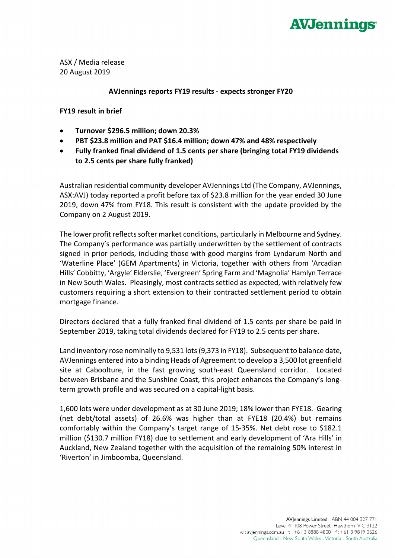## **AVJennings**

ASX / Media release 20 August 2019

## **AVJennings reports FY19 results - expects stronger FY20**

## **FY19 result in brief**

- **Turnover \$296.5 million; down 20.3%**
- **PBT \$23.8 million and PAT \$16.4 million; down 47% and 48% respectively**
- **Fully franked final dividend of 1.5 cents per share (bringing total FY19 dividends to 2.5 cents per share fully franked)**

Australian residential community developer AVJennings Ltd (The Company, AVJennings, ASX:AVJ) today reported a profit before tax of \$23.8 million for the year ended 30 June 2019, down 47% from FY18. This result is consistent with the update provided by the Company on 2 August 2019.

The lower profit reflects softer market conditions, particularly in Melbourne and Sydney. The Company's performance was partially underwritten by the settlement of contracts signed in prior periods, including those with good margins from Lyndarum North and 'Waterline Place' (GEM Apartments) in Victoria, together with others from 'Arcadian Hills' Cobbitty, 'Argyle' Elderslie, 'Evergreen' Spring Farm and 'Magnolia' Hamlyn Terrace in New South Wales. Pleasingly, most contracts settled as expected, with relatively few customers requiring a short extension to their contracted settlement period to obtain mortgage finance.

Directors declared that a fully franked final dividend of 1.5 cents per share be paid in September 2019, taking total dividends declared for FY19 to 2.5 cents per share.

Land inventory rose nominally to 9,531 lots (9,373 in FY18). Subsequent to balance date, AVJennings entered into a binding Heads of Agreement to develop a 3,500 lot greenfield site at Caboolture, in the fast growing south-east Queensland corridor. Located between Brisbane and the Sunshine Coast, this project enhances the Company's longterm growth profile and was secured on a capital-light basis.

1,600 lots were under development as at 30 June 2019; 18% lower than FYE18. Gearing (net debt/total assets) of 26.6% was higher than at FYE18 (20.4%) but remains comfortably within the Company's target range of 15-35%. Net debt rose to \$182.1 million (\$130.7 million FY18) due to settlement and early development of 'Ara Hills' in Auckland, New Zealand together with the acquisition of the remaining 50% interest in 'Riverton' in Jimboomba, Queensland.